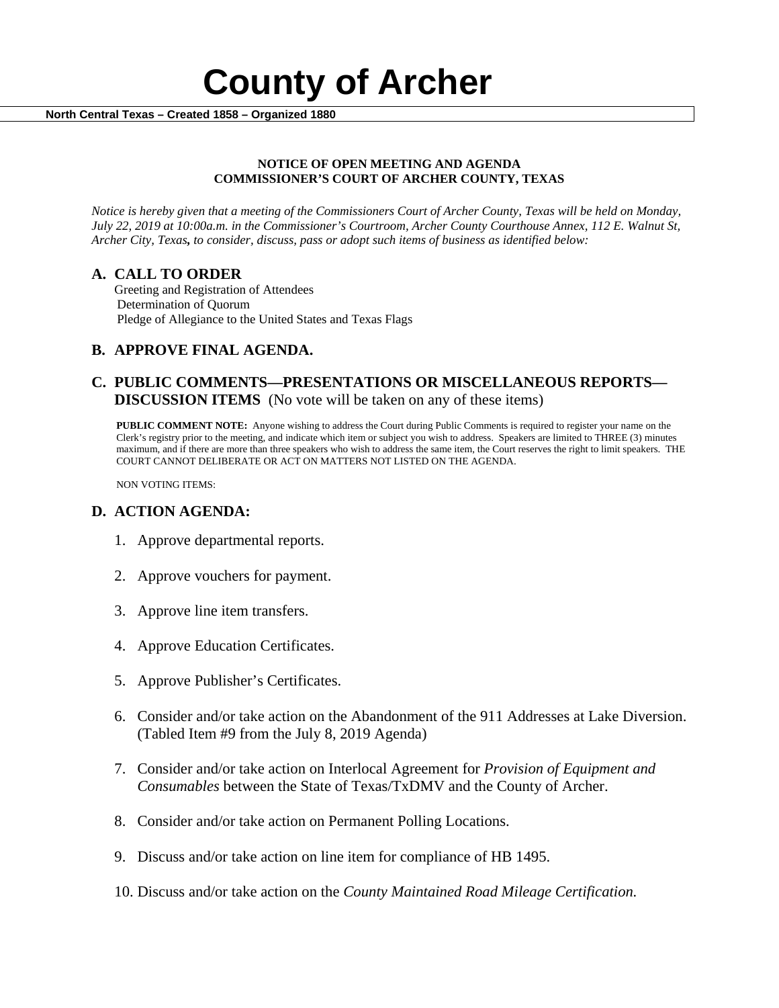

#### **NOTICE OF OPEN MEETING AND AGENDA COMMISSIONER'S COURT OF ARCHER COUNTY, TEXAS**

*Notice is hereby given that a meeting of the Commissioners Court of Archer County, Texas will be held on Monday, July 22, 2019 at 10:00a.m. in the Commissioner's Courtroom, Archer County Courthouse Annex, 112 E. Walnut St, Archer City, Texas, to consider, discuss, pass or adopt such items of business as identified below:*

**A. CALL TO ORDER** Greeting and Registration of Attendees Determination of Quorum Pledge of Allegiance to the United States and Texas Flags

# **B. APPROVE FINAL AGENDA.**

# **C. PUBLIC COMMENTS—PRESENTATIONS OR MISCELLANEOUS REPORTS— DISCUSSION ITEMS** (No vote will be taken on any of these items)

**PUBLIC COMMENT NOTE:** Anyone wishing to address the Court during Public Comments is required to register your name on the Clerk's registry prior to the meeting, and indicate which item or subject you wish to address. Speakers are limited to THREE (3) minutes maximum, and if there are more than three speakers who wish to address the same item, the Court reserves the right to limit speakers. THE COURT CANNOT DELIBERATE OR ACT ON MATTERS NOT LISTED ON THE AGENDA.

NON VOTING ITEMS:

### **D. ACTION AGENDA:**

- 1. Approve departmental reports.
- 2. Approve vouchers for payment.
- 3. Approve line item transfers.
- 4. Approve Education Certificates.
- 5. Approve Publisher's Certificates.
- 6. Consider and/or take action on the Abandonment of the 911 Addresses at Lake Diversion. (Tabled Item #9 from the July 8, 2019 Agenda)
- 7. Consider and/or take action on Interlocal Agreement for *Provision of Equipment and Consumables* between the State of Texas/TxDMV and the County of Archer.
- 8. Consider and/or take action on Permanent Polling Locations.
- 9. Discuss and/or take action on line item for compliance of HB 1495.
- 10. Discuss and/or take action on the *County Maintained Road Mileage Certification.*